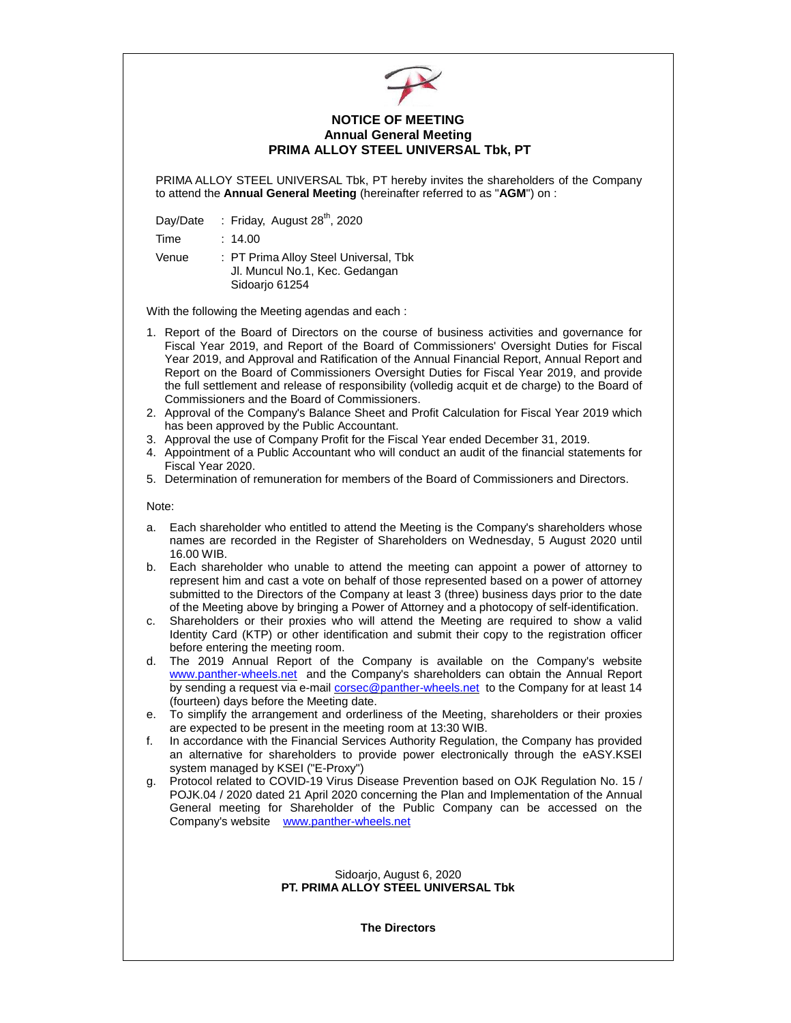

## **NOTICE OF MEETING Annual General Meeting PRIMA ALLOY STEEL UNIVERSAL Tbk, PT**

PRIMA ALLOY STEEL UNIVERSAL Tbk, PT hereby invites the shareholders of the Company to attend the **Annual General Meeting** (hereinafter referred to as "**AGM**") on :

Day/Date : Friday, August 28<sup>th</sup>, 2020

Time : 14.00

Venue : PT Prima Alloy Steel Universal, Tbk Jl. Muncul No.1, Kec. Gedangan Sidoarjo 61254

With the following the Meeting agendas and each :

- 1. Report of the Board of Directors on the course of business activities and governance for Fiscal Year 2019, and Report of the Board of Commissioners' Oversight Duties for Fiscal Year 2019, and Approval and Ratification of the Annual Financial Report, Annual Report and Report on the Board of Commissioners Oversight Duties for Fiscal Year 2019, and provide the full settlement and release of responsibility (volledig acquit et de charge) to the Board of Commissioners and the Board of Commissioners.
- 2. Approval of the Company's Balance Sheet and Profit Calculation for Fiscal Year 2019 which has been approved by the Public Accountant.
- 3. Approval the use of Company Profit for the Fiscal Year ended December 31, 2019.
- 4. Appointment of a Public Accountant who will conduct an audit of the financial statements for Fiscal Year 2020.
- 5. Determination of remuneration for members of the Board of Commissioners and Directors.

Note:

- a. Each shareholder who entitled to attend the Meeting is the Company's shareholders whose names are recorded in the Register of Shareholders on Wednesday, 5 August 2020 until 16.00 WIB.
- b. Each shareholder who unable to attend the meeting can appoint a power of attorney to represent him and cast a vote on behalf of those represented based on a power of attorney submitted to the Directors of the Company at least 3 (three) business days prior to the date of the Meeting above by bringing a Power of Attorney and a photocopy of self-identification.
- c. Shareholders or their proxies who will attend the Meeting are required to show a valid Identity Card (KTP) or other identification and submit their copy to the registration officer before entering the meeting room.
- d. The 2019 Annual Report of the Company is available on the Company's website www.panther-wheels.net and the Company's shareholders can obtain the Annual Report by sending a request via e-mail [corsec@panther-wheels.net](mailto:corsec@panther-wheels.net) to the Company for at least 14 (fourteen) days before the Meeting date.
- e. To simplify the arrangement and orderliness of the Meeting, shareholders or their proxies are expected to be present in the meeting room at 13:30 WIB.
- f. In accordance with the Financial Services Authority Regulation, the Company has provided an alternative for shareholders to provide power electronically through the eASY.KSEI system managed by KSEI ("E-Proxy")
- g. Protocol related to COVID-19 Virus Disease Prevention based on OJK Regulation No. 15 / POJK.04 / 2020 dated 21 April 2020 concerning the Plan and Implementation of the Annual General meeting for Shareholder of the Public Company can be accessed on the Company's website [www.panther-wheels.net](http://www.panther-wheels.net/)

## Sidoarjo, August 6, 2020 **PT. PRIMA ALLOY STEEL UNIVERSAL Tbk**

**The Directors**